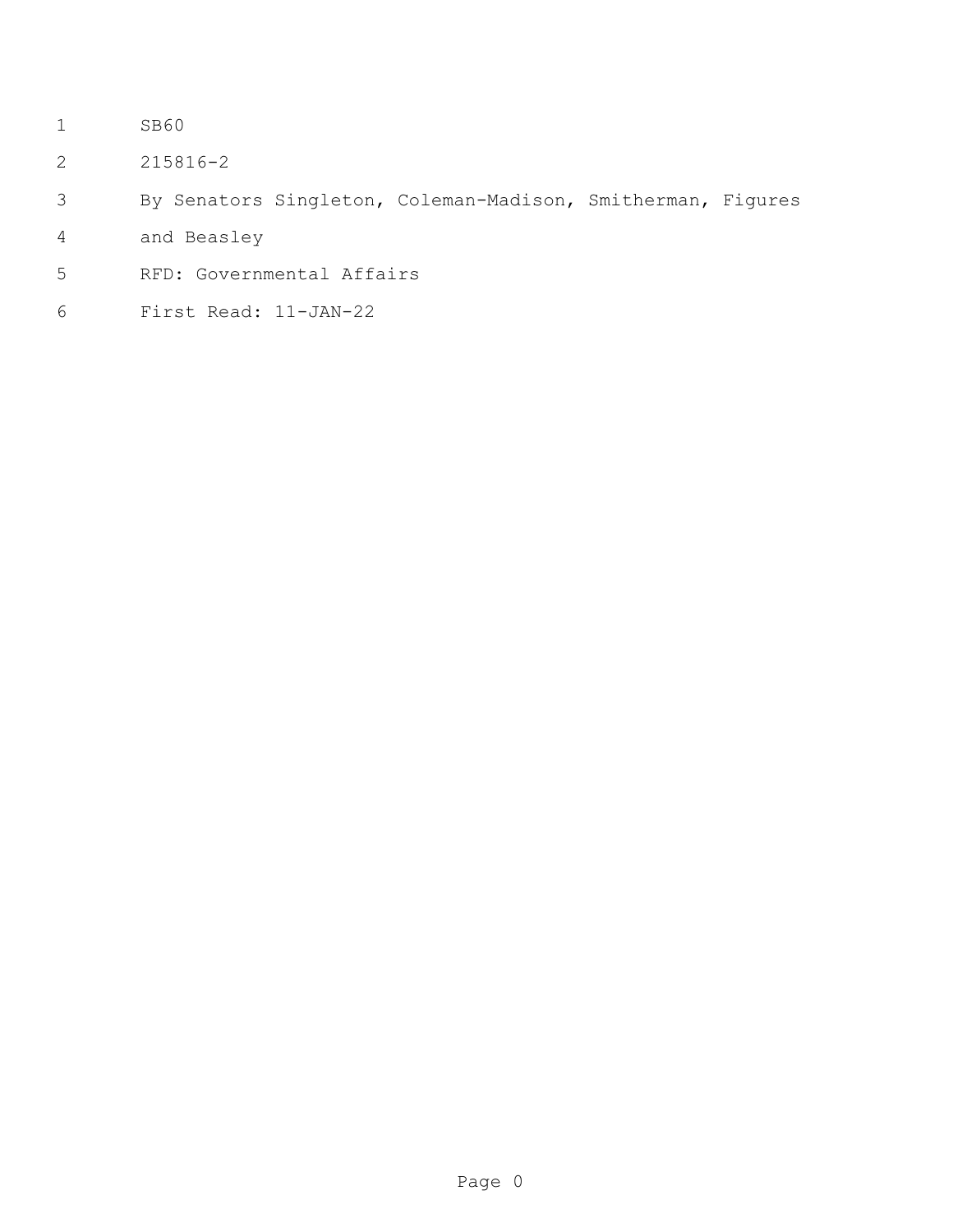- SB60
- 215816-2
- By Senators Singleton, Coleman-Madison, Smitherman, Figures
- and Beasley
- RFD: Governmental Affairs
- First Read: 11-JAN-22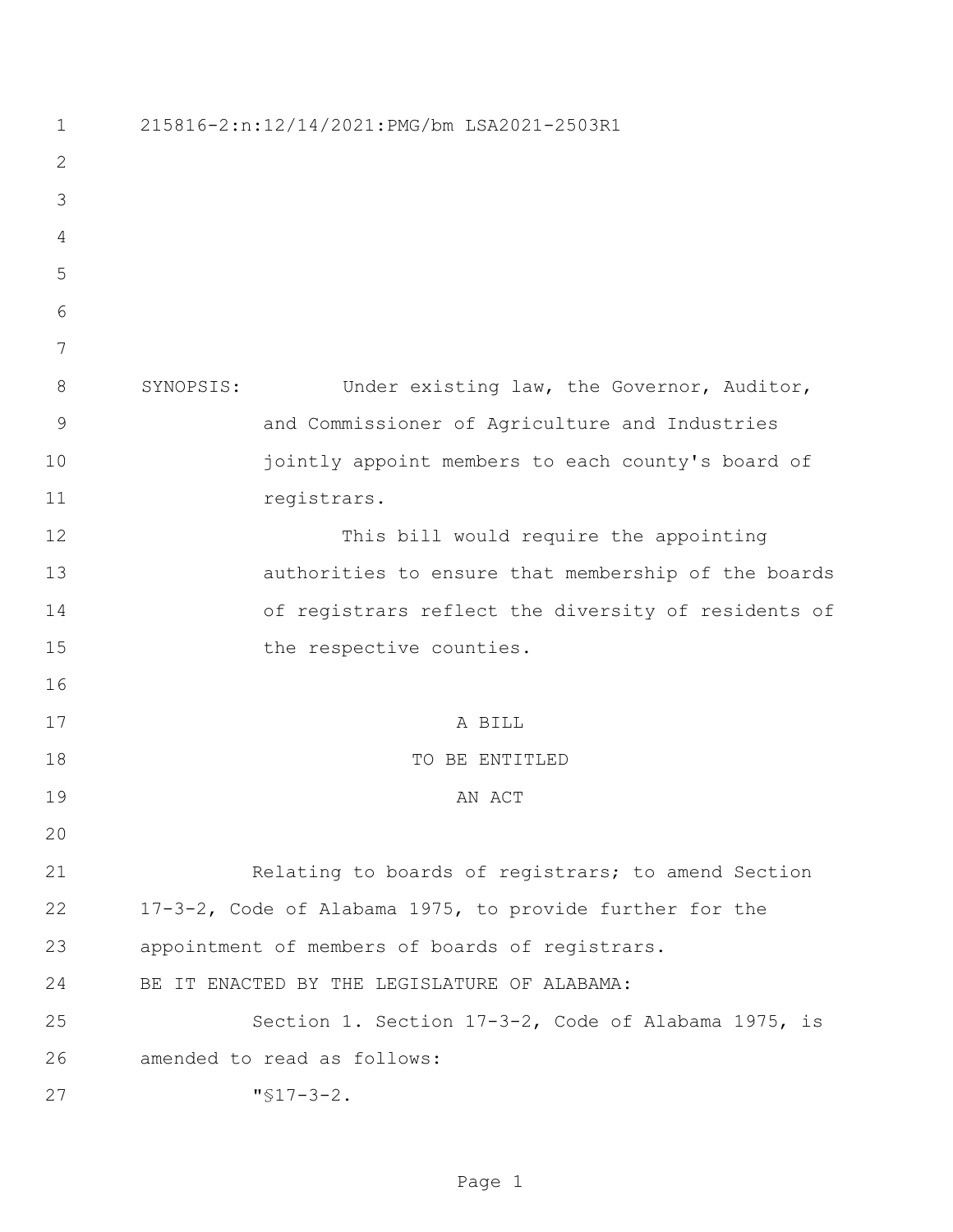| $\mathbf 1$   | 215816-2:n:12/14/2021:PMG/bm LSA2021-2503R1              |
|---------------|----------------------------------------------------------|
| $\mathbf{2}$  |                                                          |
| 3             |                                                          |
| 4             |                                                          |
| 5             |                                                          |
| 6             |                                                          |
| 7             |                                                          |
| 8             | Under existing law, the Governor, Auditor,<br>SYNOPSIS:  |
| $\mathcal{G}$ | and Commissioner of Agriculture and Industries           |
| 10            | jointly appoint members to each county's board of        |
| 11            | registrars.                                              |
| 12            | This bill would require the appointing                   |
| 13            | authorities to ensure that membership of the boards      |
| 14            | of registrars reflect the diversity of residents of      |
| 15            | the respective counties.                                 |
| 16            |                                                          |
| 17            | A BILL                                                   |
| 18            | TO BE ENTITLED                                           |
| 19            | AN ACT                                                   |
| 20            |                                                          |
| 21            | Relating to boards of registrars; to amend Section       |
| 22            | 17-3-2, Code of Alabama 1975, to provide further for the |
| 23            | appointment of members of boards of registrars.          |
| 24            | BE IT ENACTED BY THE LEGISLATURE OF ALABAMA:             |
| 25            | Section 1. Section 17-3-2, Code of Alabama 1975, is      |
| 26            | amended to read as follows:                              |
| 27            | $"$ \$17-3-2.                                            |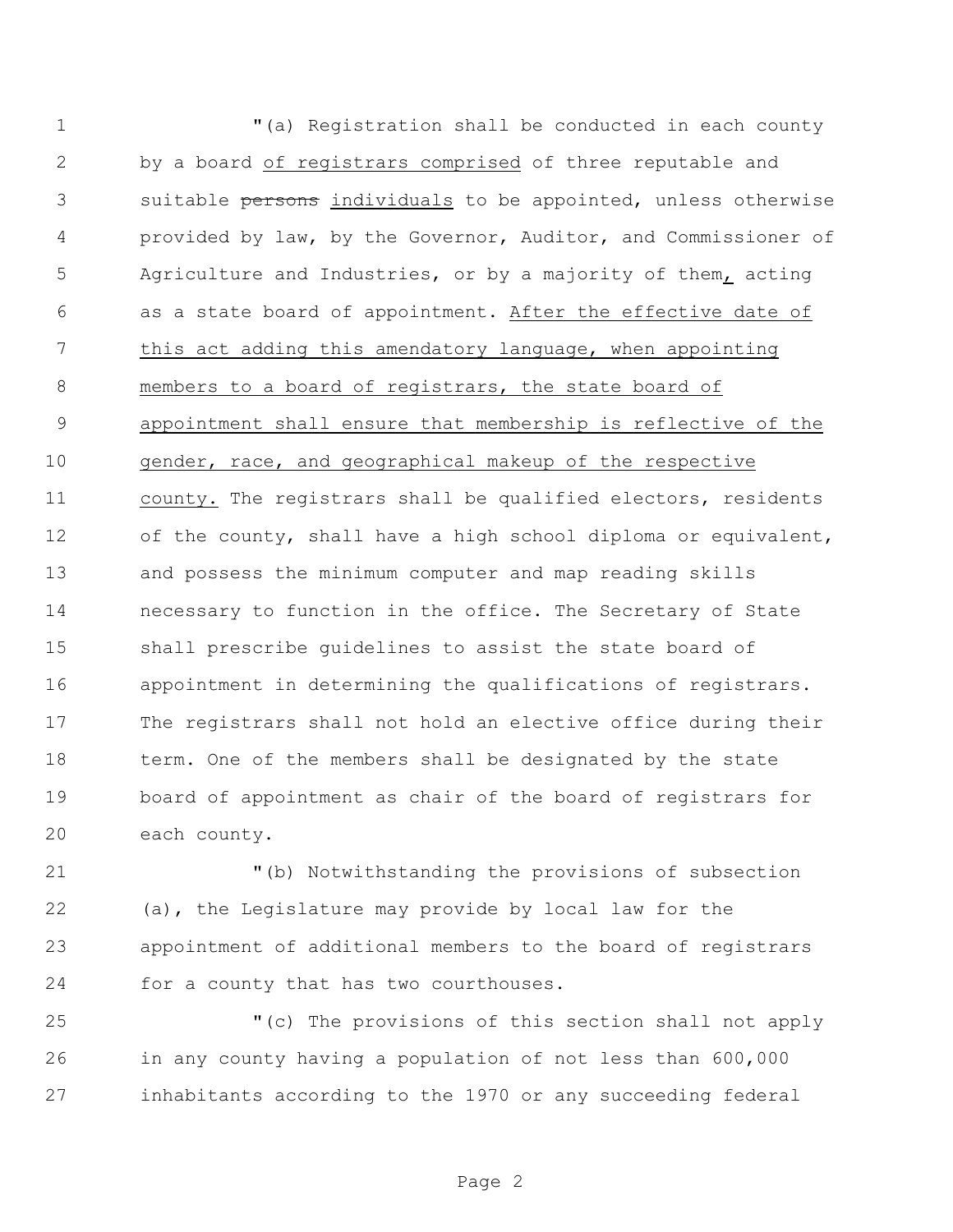"(a) Registration shall be conducted in each county by a board of registrars comprised of three reputable and 3 suitable persons individuals to be appointed, unless otherwise provided by law, by the Governor, Auditor, and Commissioner of Agriculture and Industries, or by a majority of them, acting as a state board of appointment. After the effective date of this act adding this amendatory language, when appointing members to a board of registrars, the state board of appointment shall ensure that membership is reflective of the gender, race, and geographical makeup of the respective county. The registrars shall be qualified electors, residents of the county, shall have a high school diploma or equivalent, and possess the minimum computer and map reading skills necessary to function in the office. The Secretary of State shall prescribe guidelines to assist the state board of appointment in determining the qualifications of registrars. The registrars shall not hold an elective office during their 18 term. One of the members shall be designated by the state board of appointment as chair of the board of registrars for each county.

 "(b) Notwithstanding the provisions of subsection (a), the Legislature may provide by local law for the appointment of additional members to the board of registrars for a county that has two courthouses.

 "(c) The provisions of this section shall not apply in any county having a population of not less than 600,000 inhabitants according to the 1970 or any succeeding federal